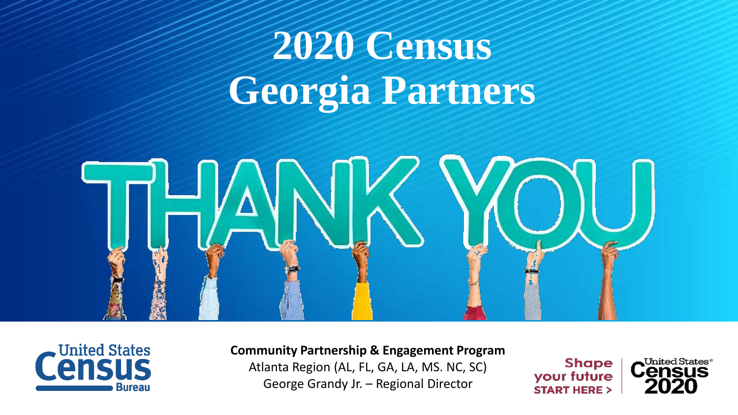# **2020 Census Georgia Partners**





**Community Partnership & Engagement Program** 

Atlanta Region (AL, FL, GA, LA, MS. NC, SC) George Grandy Jr. – Regional Director

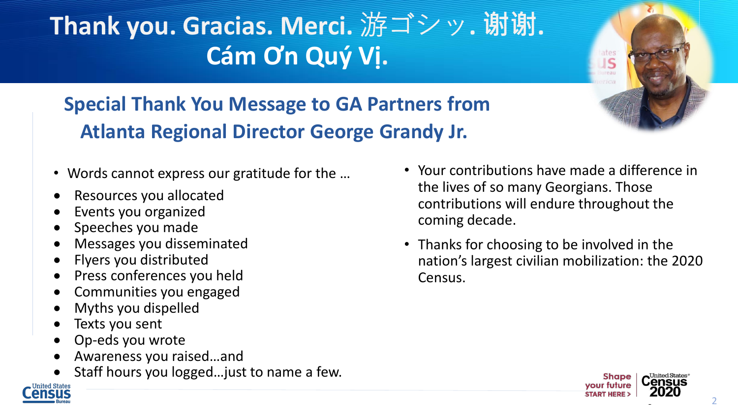# **Thank you. Gracias. Merci.** 游ゴシッ**. 谢谢. Cám Ơn Quý Vị.**



**Special Thank You Message to GA Partners from Atlanta Regional Director George Grandy Jr.**

- Words cannot express our gratitude for the …
- Resources you allocated
- Events you organized
- Speeches you made
- Messages you disseminated
- Flyers you distributed
- Press conferences you held
- Communities you engaged
- Myths you dispelled
- Texts you sent
- Op-eds you wrote
- Awareness you raised…and
- Staff hours you logged...just to name a few.
- Your contributions have made a difference in the lives of so many Georgians. Those contributions will endure throughout the coming decade.
- Thanks for choosing to be involved in the nation's largest civilian mobilization: the 2020 Census.

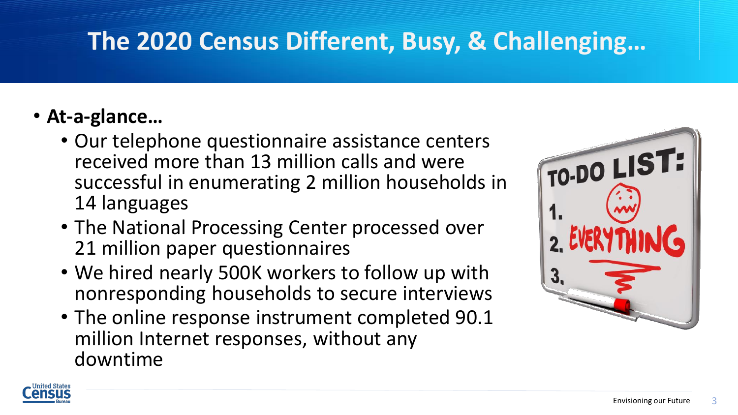### **The 2020 Census Different, Busy, & Challenging…**

#### • **At-a-glance…**

- Our telephone questionnaire assistance centers received more than 13 million calls and were successful in enumerating 2 million households in 14 languages
- The National Processing Center processed over 21 million paper questionnaires
- We hired nearly 500K workers to follow up with nonresponding households to secure interviews
- The online response instrument completed 90.1 million Internet responses, without any downtime



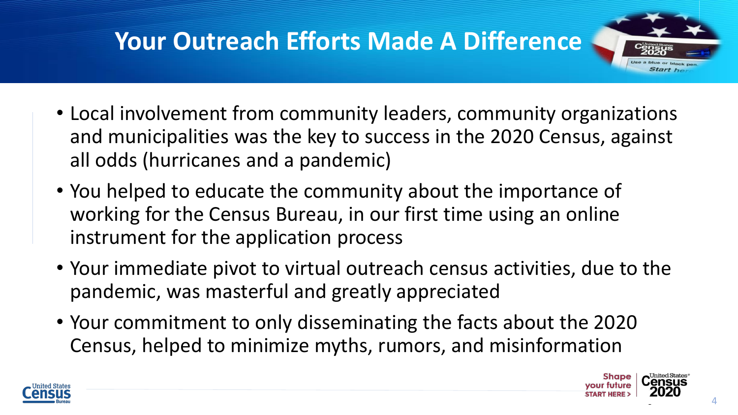## **Your Outreach Efforts Made A Difference**

- Local involvement from community leaders, community organizations and municipalities was the key to success in the 2020 Census, against all odds (hurricanes and a pandemic)
- You helped to educate the community about the importance of working for the Census Bureau, in our first time using an online instrument for the application process
- Your immediate pivot to virtual outreach census activities, due to the pandemic, was masterful and greatly appreciated
- Your commitment to only disseminating the facts about the 2020 Census, helped to minimize myths, rumors, and misinformation



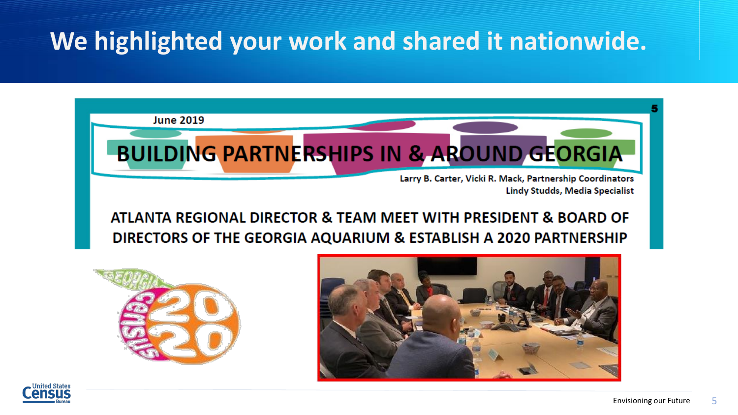#### **We highlighted your work and shared it nationwide.**







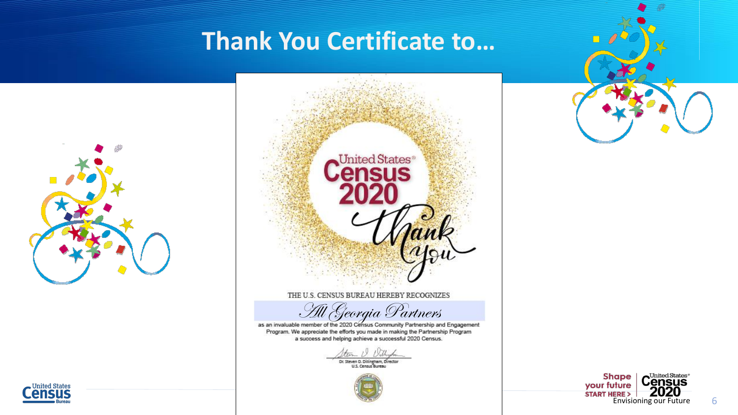#### **Thank You Certificate to…**





Program. We appreciate the efforts you made in making the Partnership Program a success and helping achieve a successful 2020 Census.

Dr. Steven D. Dillingham, Director<br>U.S. Census Bureau





 $\overline{\mathbb{N}}$ 

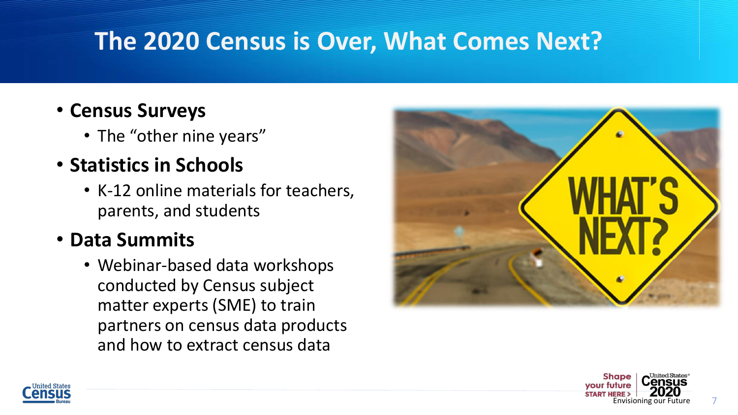#### **The 2020 Census is Over, What Comes Next?**

- **Census Surveys**
	- The "other nine years"
- **Statistics in Schools**
	- K-12 online materials for teachers, parents, and students

#### • **Data Summits**

• Webinar-based data workshops conducted by Census subject matter experts (SME) to train partners on census data products and how to extract census data





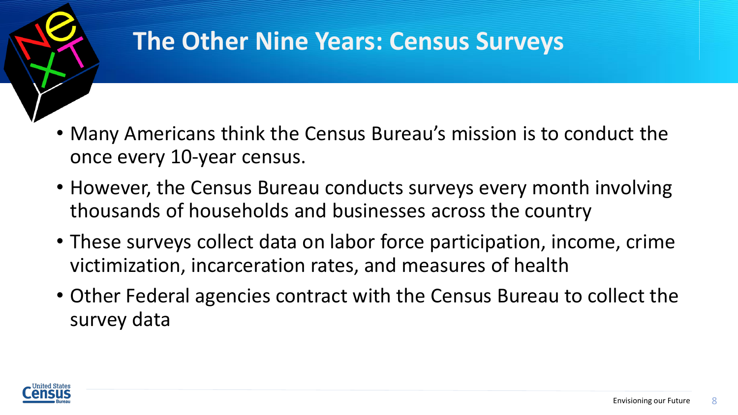

#### **The Other Nine Years: Census Surveys**

- Many Americans think the Census Bureau's mission is to conduct the once every 10-year census.
- However, the Census Bureau conducts surveys every month involving thousands of households and businesses across the country
- These surveys collect data on labor force participation, income, crime victimization, incarceration rates, and measures of health
- Other Federal agencies contract with the Census Bureau to collect the survey data

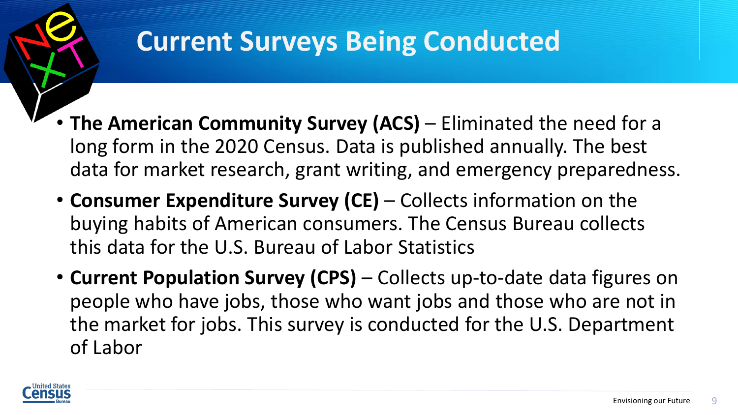

## **Current Surveys Being Conducted**

- **The American Community Survey (ACS)** Eliminated the need for a long form in the 2020 Census. Data is published annually. The best data for market research, grant writing, and emergency preparedness.
- **Consumer Expenditure Survey (CE)**  Collects information on the buying habits of American consumers. The Census Bureau collects this data for the U.S. Bureau of Labor Statistics
- **Current Population Survey (CPS)**  Collects up-to-date data figures on people who have jobs, those who want jobs and those who are not in the market for jobs. This survey is conducted for the U.S. Department of Labor

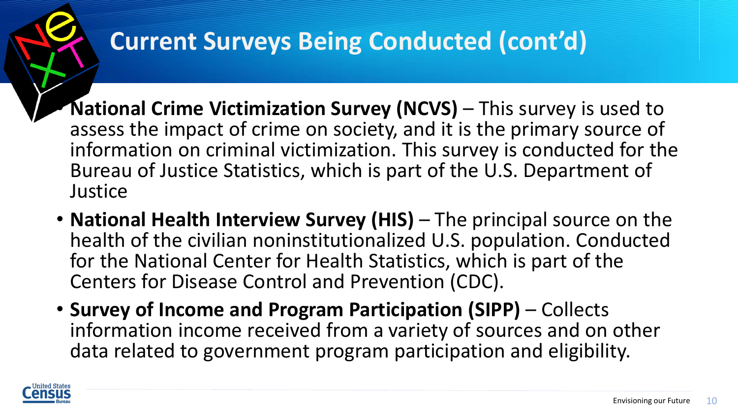## **Current Surveys Being Conducted (cont'd)**

- **National Crime Victimization Survey (NCVS)** This survey is used to assess the impact of crime on society, and it is the primary source of information on criminal victimization. This survey is conducted for the Bureau of Justice Statistics, which is part of the U.S. Department of **Justice**
- **National Health Interview Survey (HIS)** The principal source on the health of the civilian noninstitutionalized U.S. population. Conducted for the National Center for Health Statistics, which is part of the Centers for Disease Control and Prevention (CDC).
- **Survey of Income and Program Participation (SIPP)**  Collects information income received from a variety of sources and on other data related to government program participation and eligibility.

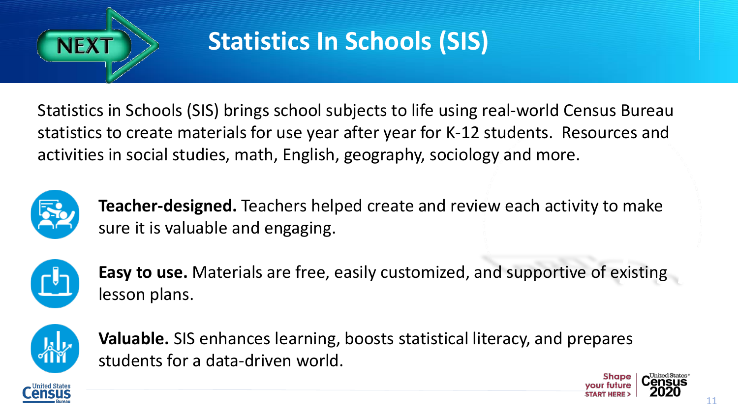

#### **Statistics In Schools (SIS)**

Statistics in Schools (SIS) brings school subjects to life using real-world Census Bureau statistics to create materials for use year after year for K-12 students. Resources and activities in social studies, math, English, geography, sociology and more.



**Teacher-designed.** Teachers helped create and review each activity to make sure it is valuable and engaging.



**Easy to use.** Materials are free, easily customized, and supportive of existing lesson plans.



**Valuable.** SIS enhances learning, boosts statistical literacy, and prepares students for a data-driven world.



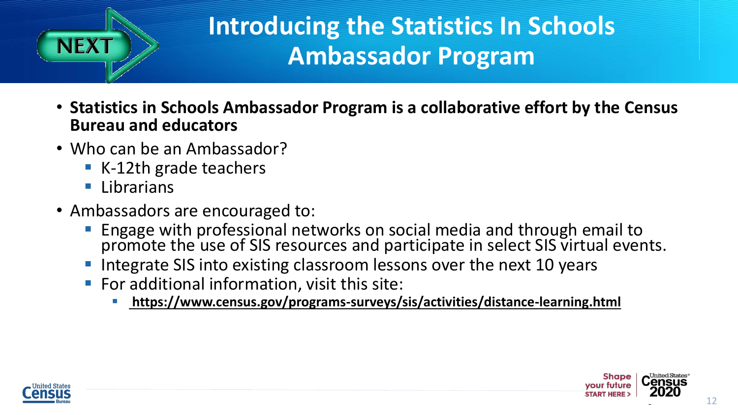

#### **Introducing the Statistics In Schools Ambassador Program**

- **Statistics in Schools Ambassador Program is a collaborative effort by the Census Bureau and educators**
- Who can be an Ambassador?
	- K-12th grade teachers
	- Librarians
- Ambassadors are encouraged to:
	- **Engage with professional networks on social media and through email to** promote the use of SIS resources and participate in select SIS virtual events.
	- Integrate SIS into existing classroom lessons over the next 10 years
	- For additional information, visit this site:
		- **<https://www.census.gov/programs-surveys/sis/activities/distance-learning.html>**



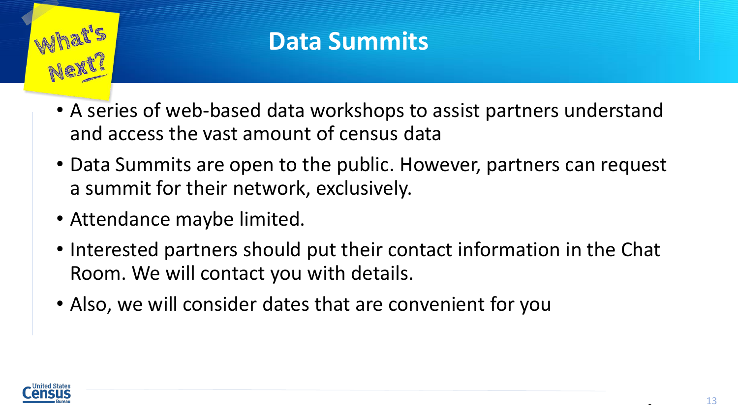

#### **Data Summits**

- A series of web-based data workshops to assist partners understand and access the vast amount of census data
- Data Summits are open to the public. However, partners can request a summit for their network, exclusively.
- Attendance maybe limited.
- Interested partners should put their contact information in the Chat Room. We will contact you with details.
- Also, we will consider dates that are convenient for you

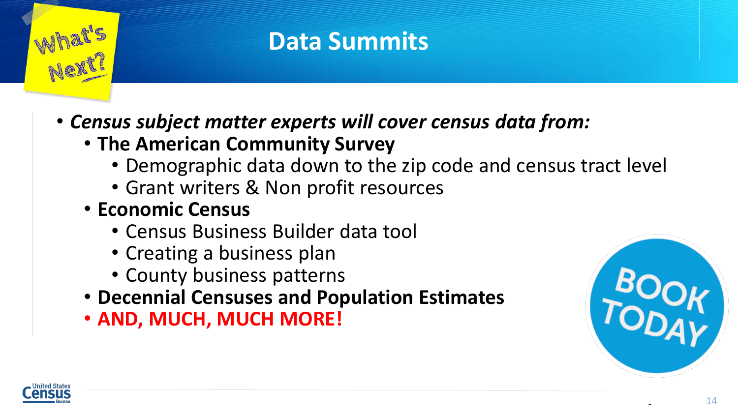

#### **Data Summits**

- *Census subject matter experts will cover census data from:*
	- **The American Community Survey**
		- Demographic data down to the zip code and census tract level
		- Grant writers & Non profit resources
	- **Economic Census**
		- Census Business Builder data tool
		- Creating a business plan
		- County business patterns
	- **Decennial Censuses and Population Estimates**
	- **AND, MUCH, MUCH MORE!**